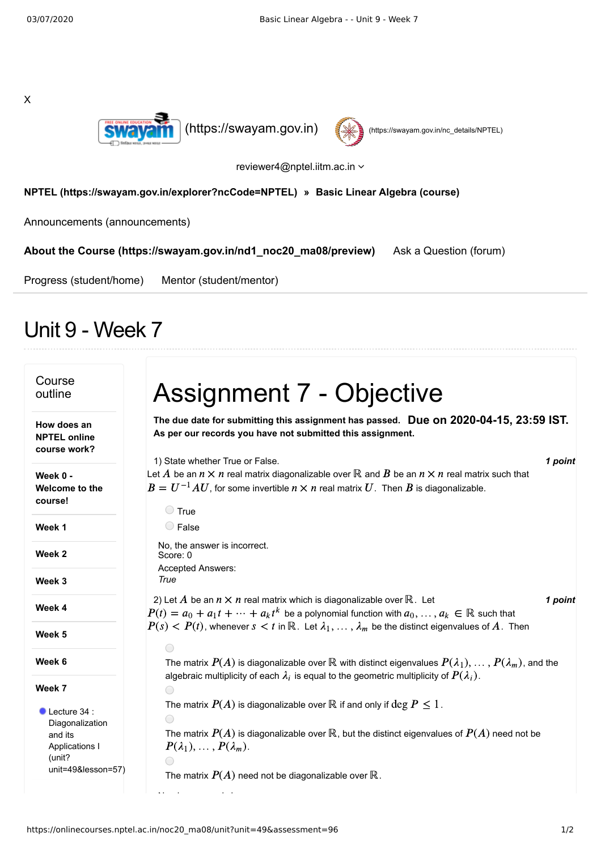



reviewer4@nptel.iitm.ac.in

## **[NPTEL \(https://swayam.gov.in/explorer?ncCode=NPTEL\)](https://swayam.gov.in/explorer?ncCode=NPTEL) » [Basic Linear Algebra \(course\)](https://onlinecourses.nptel.ac.in/noc20_ma08/course)**

[Announcements \(announcements\)](https://onlinecourses.nptel.ac.in/noc20_ma08/announcements)

**[About the Course \(https://swayam.gov.in/nd1\\_noc20\\_ma08/preview\)](https://swayam.gov.in/nd1_noc20_ma08/preview)** [Ask a Question \(forum\)](https://onlinecourses.nptel.ac.in/noc20_ma08/forum)

[Progress \(student/home\)](https://onlinecourses.nptel.ac.in/noc20_ma08/student/home) [Mentor \(student/mentor\)](https://onlinecourses.nptel.ac.in/noc20_ma08/student/mentor)

## Unit 9 - Week 7

| Course<br>outline                                                                | <b>Assignment 7 - Objective</b>                                                                                                                                                                                                                                               |
|----------------------------------------------------------------------------------|-------------------------------------------------------------------------------------------------------------------------------------------------------------------------------------------------------------------------------------------------------------------------------|
| How does an<br><b>NPTEL online</b><br>course work?                               | The due date for submitting this assignment has passed. Due on 2020-04-15, 23:59 IST.<br>As per our records you have not submitted this assignment.                                                                                                                           |
| Week 0 -<br>Welcome to the<br>course!                                            | 1) State whether True or False.<br>1 point<br>Let A be an $n \times n$ real matrix diagonalizable over R and B be an $n \times n$ real matrix such that<br>$B = U^{-1}AU$ , for some invertible $n \times n$ real matrix $U$ . Then $B$ is diagonalizable.<br>$\bigcirc$ True |
| Week 1                                                                           | $\bigcirc$ False                                                                                                                                                                                                                                                              |
| Week <sub>2</sub>                                                                | No, the answer is incorrect.<br>Score: 0                                                                                                                                                                                                                                      |
| Week 3                                                                           | Accepted Answers:<br>True                                                                                                                                                                                                                                                     |
| Week 4                                                                           | 2) Let A be an $n \times n$ real matrix which is diagonalizable over R. Let<br>1 point<br>$P(t) = a_0 + a_1 t + \dots + a_k t^k$ be a polynomial function with $a_0, \dots, a_k \in \mathbb{R}$ such that                                                                     |
| Week 5                                                                           | $P(s) < P(t)$ , whenever $s < t$ in R. Let $\lambda_1, \ldots, \lambda_m$ be the distinct eigenvalues of A. Then                                                                                                                                                              |
| Week 6                                                                           | The matrix $P(A)$ is diagonalizable over $\mathbb R$ with distinct eigenvalues $P(\lambda_1), \ldots, P(\lambda_m)$ , and the                                                                                                                                                 |
| Week 7                                                                           | algebraic multiplicity of each $\lambda_i$ is equal to the geometric multiplicity of $P(\lambda_i)$ .                                                                                                                                                                         |
| $\bullet$ Lecture 34 :<br>Diagonalization<br>and its<br>Applications I<br>(unit? | The matrix $P(A)$ is diagonalizable over R if and only if $\deg P \leq 1$ .<br>The matrix $P(A)$ is diagonalizable over $\mathbb R$ , but the distinct eigenvalues of $P(A)$ need not be<br>$P(\lambda_1), \ldots, P(\lambda_m).$                                             |
| unit=49&lesson=57)                                                               | The matrix $P(A)$ need not be diagonalizable over $\mathbb R$ .                                                                                                                                                                                                               |